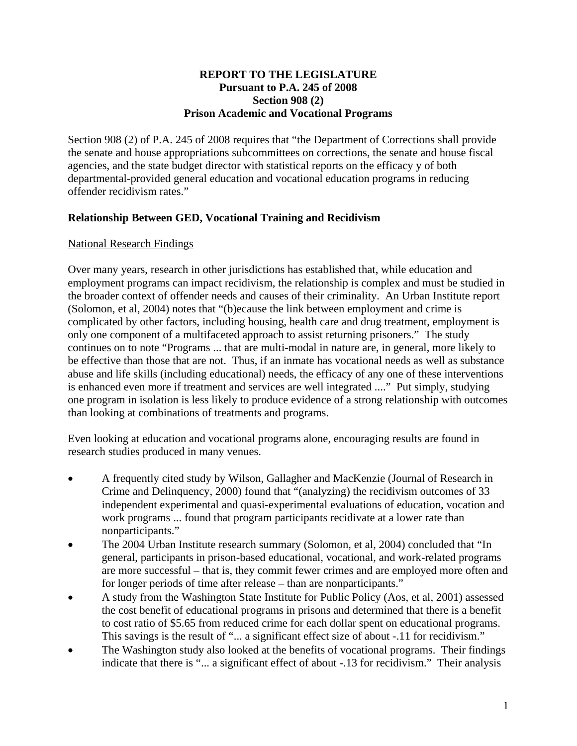#### **REPORT TO THE LEGISLATURE Pursuant to P.A. 245 of 2008 Section 908 (2) Prison Academic and Vocational Programs**

Section 908 (2) of P.A. 245 of 2008 requires that "the Department of Corrections shall provide the senate and house appropriations subcommittees on corrections, the senate and house fiscal agencies, and the state budget director with statistical reports on the efficacy y of both departmental-provided general education and vocational education programs in reducing offender recidivism rates."

# **Relationship Between GED, Vocational Training and Recidivism**

# National Research Findings

Over many years, research in other jurisdictions has established that, while education and employment programs can impact recidivism, the relationship is complex and must be studied in the broader context of offender needs and causes of their criminality. An Urban Institute report (Solomon, et al, 2004) notes that "(b)ecause the link between employment and crime is complicated by other factors, including housing, health care and drug treatment, employment is only one component of a multifaceted approach to assist returning prisoners." The study continues on to note "Programs ... that are multi-modal in nature are, in general, more likely to be effective than those that are not. Thus, if an inmate has vocational needs as well as substance abuse and life skills (including educational) needs, the efficacy of any one of these interventions is enhanced even more if treatment and services are well integrated ...." Put simply, studying one program in isolation is less likely to produce evidence of a strong relationship with outcomes than looking at combinations of treatments and programs.

Even looking at education and vocational programs alone, encouraging results are found in research studies produced in many venues.

- A frequently cited study by Wilson, Gallagher and MacKenzie (Journal of Research in Crime and Delinquency, 2000) found that "(analyzing) the recidivism outcomes of 33 independent experimental and quasi-experimental evaluations of education, vocation and work programs ... found that program participants recidivate at a lower rate than nonparticipants."
- The 2004 Urban Institute research summary (Solomon, et al, 2004) concluded that "In general, participants in prison-based educational, vocational, and work-related programs are more successful – that is, they commit fewer crimes and are employed more often and for longer periods of time after release – than are nonparticipants."
- A study from the Washington State Institute for Public Policy (Aos, et al, 2001) assessed the cost benefit of educational programs in prisons and determined that there is a benefit to cost ratio of \$5.65 from reduced crime for each dollar spent on educational programs. This savings is the result of "... a significant effect size of about -.11 for recidivism."
- The Washington study also looked at the benefits of vocational programs. Their findings indicate that there is "... a significant effect of about -.13 for recidivism." Their analysis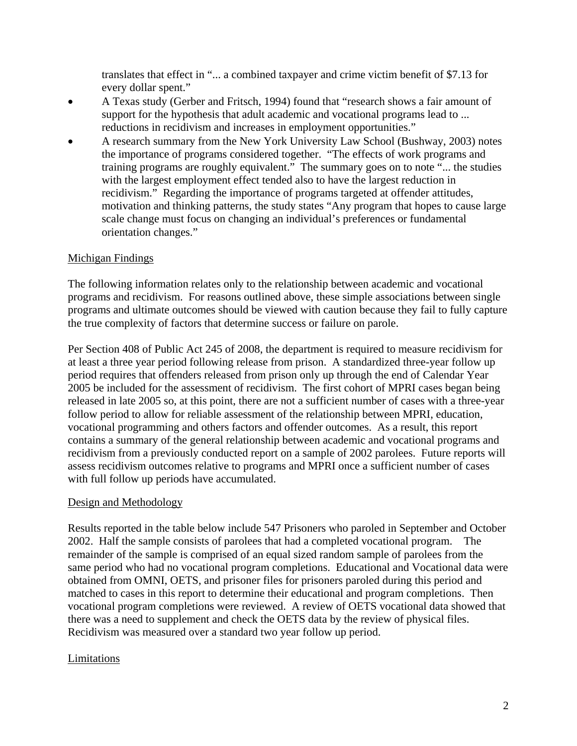translates that effect in "... a combined taxpayer and crime victim benefit of \$7.13 for every dollar spent."

- A Texas study (Gerber and Fritsch, 1994) found that "research shows a fair amount of support for the hypothesis that adult academic and vocational programs lead to ... reductions in recidivism and increases in employment opportunities."
- A research summary from the New York University Law School (Bushway, 2003) notes the importance of programs considered together. "The effects of work programs and training programs are roughly equivalent." The summary goes on to note "... the studies with the largest employment effect tended also to have the largest reduction in recidivism." Regarding the importance of programs targeted at offender attitudes, motivation and thinking patterns, the study states "Any program that hopes to cause large scale change must focus on changing an individual's preferences or fundamental orientation changes."

# Michigan Findings

The following information relates only to the relationship between academic and vocational programs and recidivism. For reasons outlined above, these simple associations between single programs and ultimate outcomes should be viewed with caution because they fail to fully capture the true complexity of factors that determine success or failure on parole.

Per Section 408 of Public Act 245 of 2008, the department is required to measure recidivism for at least a three year period following release from prison. A standardized three-year follow up period requires that offenders released from prison only up through the end of Calendar Year 2005 be included for the assessment of recidivism. The first cohort of MPRI cases began being released in late 2005 so, at this point, there are not a sufficient number of cases with a three-year follow period to allow for reliable assessment of the relationship between MPRI, education, vocational programming and others factors and offender outcomes. As a result, this report contains a summary of the general relationship between academic and vocational programs and recidivism from a previously conducted report on a sample of 2002 parolees. Future reports will assess recidivism outcomes relative to programs and MPRI once a sufficient number of cases with full follow up periods have accumulated.

# Design and Methodology

Results reported in the table below include 547 Prisoners who paroled in September and October 2002. Half the sample consists of parolees that had a completed vocational program. The remainder of the sample is comprised of an equal sized random sample of parolees from the same period who had no vocational program completions. Educational and Vocational data were obtained from OMNI, OETS, and prisoner files for prisoners paroled during this period and matched to cases in this report to determine their educational and program completions. Then vocational program completions were reviewed. A review of OETS vocational data showed that there was a need to supplement and check the OETS data by the review of physical files. Recidivism was measured over a standard two year follow up period.

# Limitations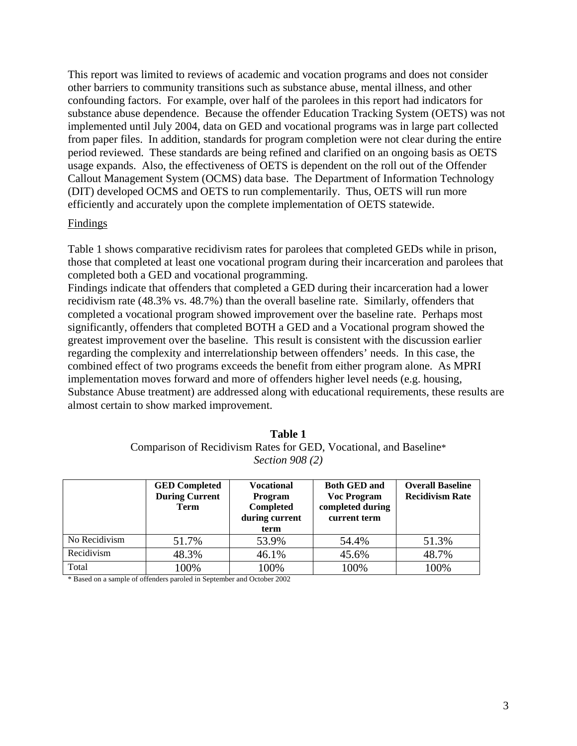This report was limited to reviews of academic and vocation programs and does not consider other barriers to community transitions such as substance abuse, mental illness, and other confounding factors. For example, over half of the parolees in this report had indicators for substance abuse dependence. Because the offender Education Tracking System (OETS) was not implemented until July 2004, data on GED and vocational programs was in large part collected from paper files. In addition, standards for program completion were not clear during the entire period reviewed. These standards are being refined and clarified on an ongoing basis as OETS usage expands. Also, the effectiveness of OETS is dependent on the roll out of the Offender Callout Management System (OCMS) data base. The Department of Information Technology (DIT) developed OCMS and OETS to run complementarily. Thus, OETS will run more efficiently and accurately upon the complete implementation of OETS statewide.

#### Findings

Table 1 shows comparative recidivism rates for parolees that completed GEDs while in prison, those that completed at least one vocational program during their incarceration and parolees that completed both a GED and vocational programming.

Findings indicate that offenders that completed a GED during their incarceration had a lower recidivism rate (48.3% vs. 48.7%) than the overall baseline rate. Similarly, offenders that completed a vocational program showed improvement over the baseline rate. Perhaps most significantly, offenders that completed BOTH a GED and a Vocational program showed the greatest improvement over the baseline. This result is consistent with the discussion earlier regarding the complexity and interrelationship between offenders' needs. In this case, the combined effect of two programs exceeds the benefit from either program alone. As MPRI implementation moves forward and more of offenders higher level needs (e.g. housing, Substance Abuse treatment) are addressed along with educational requirements, these results are almost certain to show marked improvement.

| Table 1                                                           |
|-------------------------------------------------------------------|
| Comparison of Recidivism Rates for GED, Vocational, and Baseline* |
| <i>Section 908 (2)</i>                                            |

|               | <b>GED Completed</b><br><b>During Current</b><br><b>Term</b> | <b>Vocational</b><br>Program<br>Completed<br>during current<br>term | <b>Both GED and</b><br><b>Voc Program</b><br>completed during<br>current term | <b>Overall Baseline</b><br><b>Recidivism Rate</b> |
|---------------|--------------------------------------------------------------|---------------------------------------------------------------------|-------------------------------------------------------------------------------|---------------------------------------------------|
| No Recidivism | 51.7%                                                        | 53.9%                                                               | 54.4%                                                                         | 51.3%                                             |
| Recidivism    | 48.3%                                                        | 46.1%                                                               | 45.6%                                                                         | 48.7%                                             |
| Total         | 100%                                                         | 100%                                                                | 100%                                                                          | 100%                                              |

\* Based on a sample of offenders paroled in September and October 2002